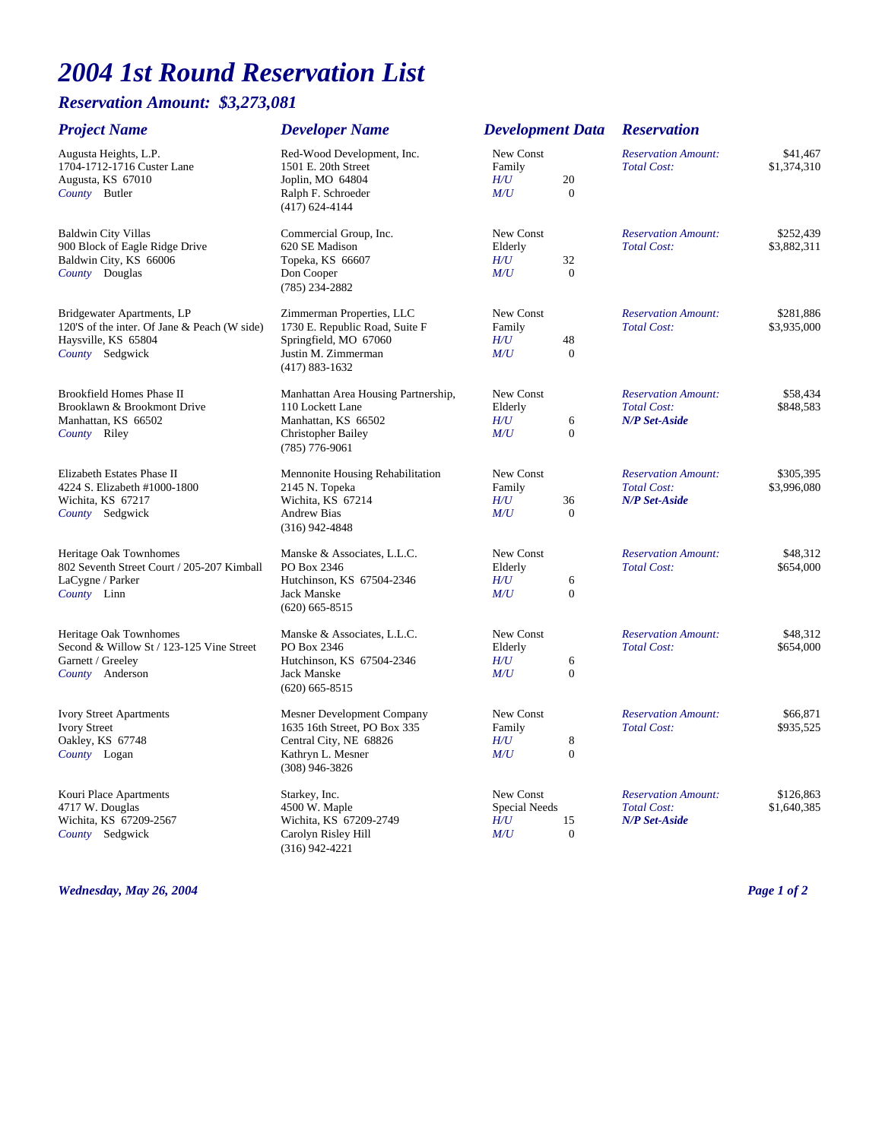## *2004 1st Round Reservation List*

## *Reservation Amount: \$3,273,081*

| <b>Project Name</b>                                                                                                  | <b>Developer Name</b>                                                                                                             | <b>Development Data</b>                                                  | <b>Reservation</b>                                                       |                          |
|----------------------------------------------------------------------------------------------------------------------|-----------------------------------------------------------------------------------------------------------------------------------|--------------------------------------------------------------------------|--------------------------------------------------------------------------|--------------------------|
| Augusta Heights, L.P.<br>1704-1712-1716 Custer Lane<br>Augusta, KS 67010<br>County Butler                            | Red-Wood Development, Inc.<br>1501 E. 20th Street<br>Joplin, MO 64804<br>Ralph F. Schroeder<br>$(417) 624 - 4144$                 | New Const<br>Family<br>20<br>$H\!/\!U$<br>M/U<br>$\mathbf{0}$            | <b>Reservation Amount:</b><br><b>Total Cost:</b>                         | \$41,467<br>\$1,374,310  |
| <b>Baldwin City Villas</b><br>900 Block of Eagle Ridge Drive<br>Baldwin City, KS 66006<br>County Douglas             | Commercial Group, Inc.<br>620 SE Madison<br>Topeka, KS 66607<br>Don Cooper<br>$(785)$ 234-2882                                    | New Const<br>Elderly<br>$H\!/\!U$<br>32<br>M/U<br>$\mathbf{0}$           | <b>Reservation Amount:</b><br><b>Total Cost:</b>                         | \$252,439<br>\$3,882,311 |
| Bridgewater Apartments, LP<br>120'S of the inter. Of Jane & Peach (W side)<br>Haysville, KS 65804<br>County Sedgwick | Zimmerman Properties, LLC<br>1730 E. Republic Road, Suite F<br>Springfield, MO 67060<br>Justin M. Zimmerman<br>$(417) 883 - 1632$ | New Const<br>Family<br>48<br>$H\!/\!U$<br>M/U<br>$\mathbf{0}$            | <b>Reservation Amount:</b><br><b>Total Cost:</b>                         | \$281,886<br>\$3,935,000 |
| Brookfield Homes Phase II<br>Brooklawn & Brookmont Drive<br>Manhattan, KS 66502<br>County Riley                      | Manhattan Area Housing Partnership,<br>110 Lockett Lane<br>Manhattan, KS 66502<br><b>Christopher Bailey</b><br>$(785)$ 776-9061   | New Const<br>Elderly<br>$H\!/\!U$<br>6<br>$\Omega$<br>M/U                | <b>Reservation Amount:</b><br><b>Total Cost:</b><br><b>N/P Set-Aside</b> | \$58,434<br>\$848,583    |
| Elizabeth Estates Phase II<br>4224 S. Elizabeth #1000-1800<br>Wichita, KS 67217<br>County Sedgwick                   | Mennonite Housing Rehabilitation<br>2145 N. Topeka<br>Wichita, KS 67214<br><b>Andrew Bias</b><br>$(316)$ 942-4848                 | New Const<br>Family<br>$H\!/\!U$<br>36<br>M/U<br>$\mathbf{0}$            | <b>Reservation Amount:</b><br><b>Total Cost:</b><br><b>N/P Set-Aside</b> | \$305.395<br>\$3,996,080 |
| Heritage Oak Townhomes<br>802 Seventh Street Court / 205-207 Kimball<br>LaCygne / Parker<br>County Linn              | Manske & Associates, L.L.C.<br>PO Box 2346<br>Hutchinson, KS 67504-2346<br>Jack Manske<br>$(620)$ 665-8515                        | New Const<br>Elderly<br>$H\!/\!U$<br>6<br>$\boldsymbol{0}$<br>M/U        | <b>Reservation Amount:</b><br><b>Total Cost:</b>                         | \$48,312<br>\$654,000    |
| Heritage Oak Townhomes<br>Second & Willow St / 123-125 Vine Street<br>Garnett / Greeley<br>County Anderson           | Manske & Associates, L.L.C.<br>PO Box 2346<br>Hutchinson, KS 67504-2346<br>Jack Manske<br>$(620)$ 665-8515                        | New Const<br>Elderly<br>$H\!/\!U$<br>6<br>$\mathbf{0}$<br>M/U            | <b>Reservation Amount:</b><br><b>Total Cost:</b>                         | \$48,312<br>\$654,000    |
| <b>Ivory Street Apartments</b><br><b>Ivory Street</b><br>Oakley, KS 67748<br>County Logan                            | Mesner Development Company<br>1635 16th Street, PO Box 335<br>Central City, NE 68826<br>Kathryn L. Mesner<br>$(308)$ 946-3826     | New Const<br>Family<br>8<br>H/U<br>$\mathbf{0}$<br>M/U                   | <b>Reservation Amount:</b><br><b>Total Cost:</b>                         | \$66,871<br>\$935,525    |
| Kouri Place Apartments<br>4717 W. Douglas<br>Wichita, KS 67209-2567<br>County Sedgwick                               | Starkey, Inc.<br>4500 W. Maple<br>Wichita, KS 67209-2749<br>Carolyn Risley Hill<br>$(316)$ 942-4221                               | New Const<br>Special Needs<br>$H\!/\!U$<br>15<br>M/U<br>$\boldsymbol{0}$ | <b>Reservation Amount:</b><br><b>Total Cost:</b><br><b>N/P</b> Set-Aside | \$126,863<br>\$1,640,385 |

*Wednesday, May 26, 2004 Page 1 of 2*